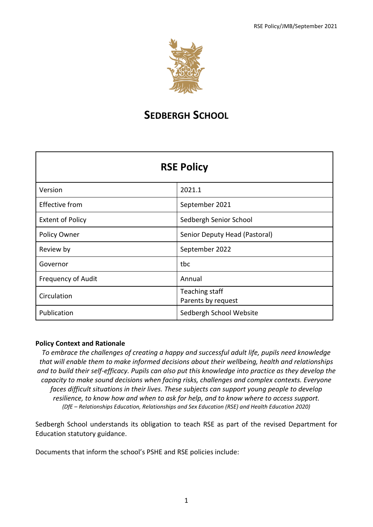

# **SEDBERGH SCHOOL**

| <b>RSE Policy</b>       |                                      |  |  |  |
|-------------------------|--------------------------------------|--|--|--|
| Version                 | 2021.1                               |  |  |  |
| <b>Effective from</b>   | September 2021                       |  |  |  |
| <b>Extent of Policy</b> | Sedbergh Senior School               |  |  |  |
| Policy Owner            | Senior Deputy Head (Pastoral)        |  |  |  |
| Review by               | September 2022                       |  |  |  |
| Governor                | tbc                                  |  |  |  |
| Frequency of Audit      | Annual                               |  |  |  |
| Circulation             | Teaching staff<br>Parents by request |  |  |  |
| Publication             | Sedbergh School Website              |  |  |  |

# **Policy Context and Rationale**

*To embrace the challenges of creating a happy and successful adult life, pupils need knowledge that will enable them to make informed decisions about their wellbeing, health and relationships and to build their self-efficacy. Pupils can also put this knowledge into practice as they develop the capacity to make sound decisions when facing risks, challenges and complex contexts. Everyone faces difficult situations in their lives. These subjects can support young people to develop resilience, to know how and when to ask for help, and to know where to access support. (DfE – Relationships Education, Relationships and Sex Education (RSE) and Health Education 2020)*

Sedbergh School understands its obligation to teach RSE as part of the revised Department for Education statutory guidance.

Documents that inform the school's PSHE and RSE policies include: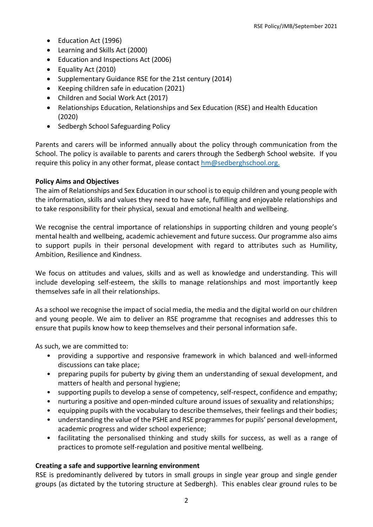- Education Act (1996)
- Learning and Skills Act (2000)
- Education and Inspections Act (2006)
- Equality Act (2010)
- Supplementary Guidance RSE for the 21st century (2014)
- Keeping children safe in education (2021)
- Children and Social Work Act (2017)
- Relationships Education, Relationships and Sex Education (RSE) and Health Education (2020)
- Sedbergh School Safeguarding Policy

Parents and carers will be informed annually about the policy through communication from the School. The policy is available to parents and carers through the Sedbergh School website. If you require this policy in any other format, please contact  $\text{hm@sedberghschool.org.}$ 

# **Policy Aims and Objectives**

The aim of Relationships and Sex Education in our school is to equip children and young people with the information, skills and values they need to have safe, fulfilling and enjoyable relationships and to take responsibility for their physical, sexual and emotional health and wellbeing.

We recognise the central importance of relationships in supporting children and young people's mental health and wellbeing, academic achievement and future success. Our programme also aims to support pupils in their personal development with regard to attributes such as Humility, Ambition, Resilience and Kindness.

We focus on attitudes and values, skills and as well as knowledge and understanding. This will include developing self-esteem, the skills to manage relationships and most importantly keep themselves safe in all their relationships.

As a school we recognise the impact of social media, the media and the digital world on our children and young people. We aim to deliver an RSE programme that recognises and addresses this to ensure that pupils know how to keep themselves and their personal information safe.

As such, we are committed to:

- providing a supportive and responsive framework in which balanced and well-informed discussions can take place;
- preparing pupils for puberty by giving them an understanding of sexual development, and matters of health and personal hygiene;
- supporting pupils to develop a sense of competency, self-respect, confidence and empathy;
- nurturing a positive and open-minded culture around issues of sexuality and relationships;
- equipping pupils with the vocabulary to describe themselves, their feelings and their bodies;
- understanding the value of the PSHE and RSE programmes for pupils' personal development, academic progress and wider school experience;
- facilitating the personalised thinking and study skills for success, as well as a range of practices to promote self-regulation and positive mental wellbeing.

# **Creating a safe and supportive learning environment**

RSE is predominantly delivered by tutors in small groups in single year group and single gender groups (as dictated by the tutoring structure at Sedbergh). This enables clear ground rules to be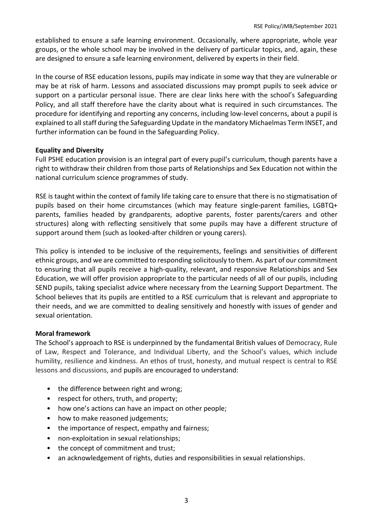established to ensure a safe learning environment. Occasionally, where appropriate, whole year groups, or the whole school may be involved in the delivery of particular topics, and, again, these are designed to ensure a safe learning environment, delivered by experts in their field.

In the course of RSE education lessons, pupils may indicate in some way that they are vulnerable or may be at risk of harm. Lessons and associated discussions may prompt pupils to seek advice or support on a particular personal issue. There are clear links here with the school's Safeguarding Policy, and all staff therefore have the clarity about what is required in such circumstances. The procedure for identifying and reporting any concerns, including low-level concerns, about a pupil is explained to all staff during the Safeguarding Update in the mandatory Michaelmas Term INSET, and further information can be found in the Safeguarding Policy.

## **Equality and Diversity**

Full PSHE education provision is an integral part of every pupil's curriculum, though parents have a right to withdraw their children from those parts of Relationships and Sex Education not within the national curriculum science programmes of study.

RSE is taught within the context of family life taking care to ensure that there is no stigmatisation of pupils based on their home circumstances (which may feature single-parent families, LGBTQ+ parents, families headed by grandparents, adoptive parents, foster parents/carers and other structures) along with reflecting sensitively that some pupils may have a different structure of support around them (such as looked-after children or young carers).

This policy is intended to be inclusive of the requirements, feelings and sensitivities of different ethnic groups, and we are committed to responding solicitously to them. As part of our commitment to ensuring that all pupils receive a high-quality, relevant, and responsive Relationships and Sex Education, we will offer provision appropriate to the particular needs of all of our pupils, including SEND pupils, taking specialist advice where necessary from the Learning Support Department. The School believes that its pupils are entitled to a RSE curriculum that is relevant and appropriate to their needs, and we are committed to dealing sensitively and honestly with issues of gender and sexual orientation.

#### **Moral framework**

The School's approach to RSE is underpinned by the fundamental British values of Democracy, Rule of Law, Respect and Tolerance, and Individual Liberty, and the School's values, which include humility, resilience and kindness. An ethos of trust, honesty, and mutual respect is central to RSE lessons and discussions, and pupils are encouraged to understand:

- the difference between right and wrong;
- respect for others, truth, and property;
- how one's actions can have an impact on other people;
- how to make reasoned judgements;
- the importance of respect, empathy and fairness;
- non-exploitation in sexual relationships;
- the concept of commitment and trust;
- an acknowledgement of rights, duties and responsibilities in sexual relationships.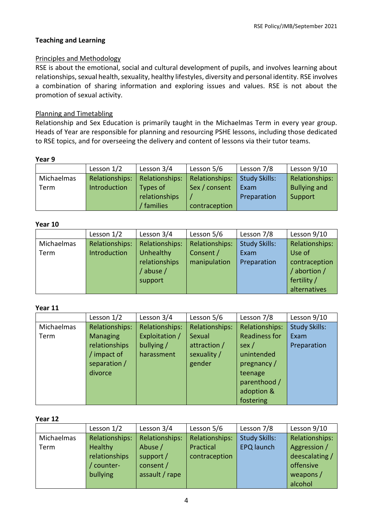# **Teaching and Learning**

# Principles and Methodology

RSE is about the emotional, social and cultural development of pupils, and involves learning about relationships, sexual health, sexuality, healthy lifestyles, diversity and personal identity. RSE involves a combination of sharing information and exploring issues and values. RSE is not about the promotion of sexual activity.

# Planning and Timetabling

Relationship and Sex Education is primarily taught in the Michaelmas Term in every year group. Heads of Year are responsible for planning and resourcing PSHE lessons, including those dedicated to RSE topics, and for overseeing the delivery and content of lessons via their tutor teams.

#### **Year 9**

|            | Lesson $1/2$   | Lesson 3/4     | Lesson 5/6     | Lesson 7/8           | Lesson 9/10         |
|------------|----------------|----------------|----------------|----------------------|---------------------|
| Michaelmas | Relationships: | Relationships: | Relationships: | <b>Study Skills:</b> | Relationships:      |
| Term       | Introduction   | Types of       | Sex / consent  | Exam                 | <b>Bullying and</b> |
|            |                | relationships  |                | Preparation          | Support             |
|            |                | / families     | contraception  |                      |                     |

## **Year 10**

|            | Lesson $1/2$   | Lesson 3/4     | Lesson 5/6     | Lesson 7/8           | Lesson 9/10    |
|------------|----------------|----------------|----------------|----------------------|----------------|
| Michaelmas | Relationships: | Relationships: | Relationships: | <b>Study Skills:</b> | Relationships: |
| Term       | Introduction   | Unhealthy      | Consent /      | Exam                 | Use of         |
|            |                | relationships  | manipulation   | Preparation          | contraception  |
|            |                | 'abuse /       |                |                      | / abortion /   |
|            |                | support        |                |                      | fertility /    |
|            |                |                |                |                      | alternatives   |

#### **Year 11**

|            | Lesson $1/2$    | Lesson 3/4     | Lesson 5/6     | Lesson 7/8           | Lesson 9/10          |
|------------|-----------------|----------------|----------------|----------------------|----------------------|
| Michaelmas | Relationships:  | Relationships: | Relationships: | Relationships:       | <b>Study Skills:</b> |
| Term       | <b>Managing</b> | Exploitation / | Sexual         | <b>Readiness for</b> | Exam                 |
|            | relationships   | bullying /     | attraction /   | sex/                 | Preparation          |
|            | / impact of     | harassment     | sexuality /    | unintended           |                      |
|            | separation /    |                | gender         | pregnancy/           |                      |
|            | divorce         |                |                | teenage              |                      |
|            |                 |                |                | parenthood /         |                      |
|            |                 |                |                | adoption &           |                      |
|            |                 |                |                | fostering            |                      |

#### **Year 12**

|            | Lesson $1/2$   | Lesson 3/4     | Lesson 5/6     | Lesson 7/8           | Lesson 9/10    |
|------------|----------------|----------------|----------------|----------------------|----------------|
| Michaelmas | Relationships: | Relationships: | Relationships: | <b>Study Skills:</b> | Relationships: |
| Term       | Healthy        | Abuse /        | Practical      | <b>EPQ</b> launch    | Aggression /   |
|            | relationships  | support /      | contraception  |                      | deescalating / |
|            | / counter-     | consent /      |                |                      | offensive      |
|            | bullying       | assault / rape |                |                      | weapons/       |
|            |                |                |                |                      | alcohol        |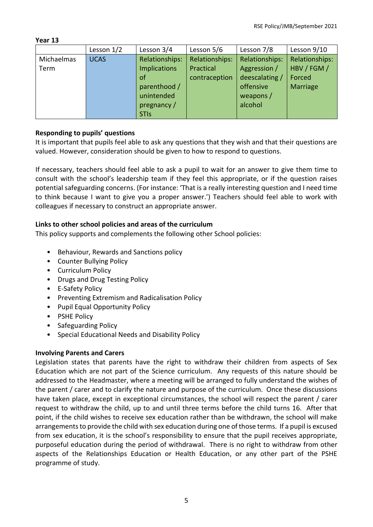## **Year 13**

|            | Lesson $1/2$ | Lesson 3/4          | Lesson 5/6     | Lesson 7/8     | Lesson 9/10    |
|------------|--------------|---------------------|----------------|----------------|----------------|
| Michaelmas | <b>UCAS</b>  | Relationships:      | Relationships: | Relationships: | Relationships: |
| Term       |              | <b>Implications</b> | Practical      | Aggression /   | HBV / FGM /    |
|            |              | of                  | contraception  | deescalating / | Forced         |
|            |              | parenthood /        |                | offensive      | Marriage       |
|            |              | unintended          |                | weapons/       |                |
|            |              | pregnancy/          |                | alcohol        |                |
|            |              | <b>STIS</b>         |                |                |                |

# **Responding to pupils' questions**

It is important that pupils feel able to ask any questions that they wish and that their questions are valued. However, consideration should be given to how to respond to questions.

If necessary, teachers should feel able to ask a pupil to wait for an answer to give them time to consult with the school's leadership team if they feel this appropriate, or if the question raises potential safeguarding concerns. (For instance: 'That is a really interesting question and I need time to think because I want to give you a proper answer.') Teachers should feel able to work with colleagues if necessary to construct an appropriate answer.

# **Links to other school policies and areas of the curriculum**

This policy supports and complements the following other School policies:

- Behaviour, Rewards and Sanctions policy
- Counter Bullying Policy
- Curriculum Policy
- Drugs and Drug Testing Policy
- E-Safety Policy
- Preventing Extremism and Radicalisation Policy
- Pupil Equal Opportunity Policy
- PSHE Policy
- Safeguarding Policy
- Special Educational Needs and Disability Policy

# **Involving Parents and Carers**

Legislation states that parents have the right to withdraw their children from aspects of Sex Education which are not part of the Science curriculum. Any requests of this nature should be addressed to the Headmaster, where a meeting will be arranged to fully understand the wishes of the parent / carer and to clarify the nature and purpose of the curriculum. Once these discussions have taken place, except in exceptional circumstances, the school will respect the parent / carer request to withdraw the child, up to and until three terms before the child turns 16. After that point, if the child wishes to receive sex education rather than be withdrawn, the school will make arrangements to provide the child with sex education during one of those terms. If a pupil is excused from sex education, it is the school's responsibility to ensure that the pupil receives appropriate, purposeful education during the period of withdrawal. There is no right to withdraw from other aspects of the Relationships Education or Health Education, or any other part of the PSHE programme of study.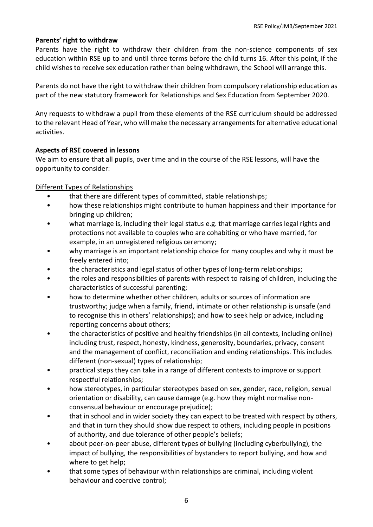## **Parents' right to withdraw**

Parents have the right to withdraw their children from the non-science components of sex education within RSE up to and until three terms before the child turns 16. After this point, if the child wishes to receive sex education rather than being withdrawn, the School will arrange this.

Parents do not have the right to withdraw their children from compulsory relationship education as part of the new statutory framework for Relationships and Sex Education from September 2020.

Any requests to withdraw a pupil from these elements of the RSE curriculum should be addressed to the relevant Head of Year, who will make the necessary arrangements for alternative educational activities.

# **Aspects of RSE covered in lessons**

We aim to ensure that all pupils, over time and in the course of the RSE lessons, will have the opportunity to consider:

## Different Types of Relationships

- that there are different types of committed, stable relationships;
- how these relationships might contribute to human happiness and their importance for bringing up children;
- what marriage is, including their legal status e.g. that marriage carries legal rights and protections not available to couples who are cohabiting or who have married, for example, in an unregistered religious ceremony;
- why marriage is an important relationship choice for many couples and why it must be freely entered into;
- the characteristics and legal status of other types of long-term relationships;
- the roles and responsibilities of parents with respect to raising of children, including the characteristics of successful parenting;
- how to determine whether other children, adults or sources of information are trustworthy; judge when a family, friend, intimate or other relationship is unsafe (and to recognise this in others' relationships); and how to seek help or advice, including reporting concerns about others;
- the characteristics of positive and healthy friendships (in all contexts, including online) including trust, respect, honesty, kindness, generosity, boundaries, privacy, consent and the management of conflict, reconciliation and ending relationships. This includes different (non-sexual) types of relationship;
- practical steps they can take in a range of different contexts to improve or support respectful relationships;
- how stereotypes, in particular stereotypes based on sex, gender, race, religion, sexual orientation or disability, can cause damage (e.g. how they might normalise nonconsensual behaviour or encourage prejudice);
- that in school and in wider society they can expect to be treated with respect by others, and that in turn they should show due respect to others, including people in positions of authority, and due tolerance of other people's beliefs;
- about peer-on-peer abuse, different types of bullying (including cyberbullying), the impact of bullying, the responsibilities of bystanders to report bullying, and how and where to get help;
- that some types of behaviour within relationships are criminal, including violent behaviour and coercive control;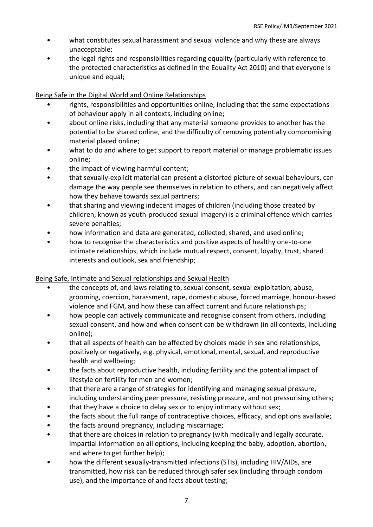- what constitutes sexual harassment and sexual violence and why these are always unacceptable;
- the legal rights and responsibilities regarding equality (particularly with reference to the protected characteristics as defined in the Equality Act 2010) and that everyone is unique and equal;

# Being Safe in the Digital World and Online Relationships

- rights, responsibilities and opportunities online, including that the same expectations of behaviour apply in all contexts, including online;
- about online risks, including that any material someone provides to another has the potential to be shared online, and the difficulty of removing potentially compromising material placed online;
- what to do and where to get support to report material or manage problematic issues online;
- the impact of viewing harmful content;
- that sexually-explicit material can present a distorted picture of sexual behaviours, can damage the way people see themselves in relation to others, and can negatively affect how they behave towards sexual partners;
- that sharing and viewing indecent images of children (including those created by children, known as youth-produced sexual imagery) is a criminal offence which carries severe penalties;
- how information and data are generated, collected, shared, and used online;
- how to recognise the characteristics and positive aspects of healthy one-to-one intimate relationships, which include mutual respect, consent, loyalty, trust, shared interests and outlook, sex and friendship;

# Being Safe, Intimate and Sexual relationships and Sexual Health

- the concepts of, and laws relating to, sexual consent, sexual exploitation, abuse, grooming, coercion, harassment, rape, domestic abuse, forced marriage, honour-based violence and FGM, and how these can affect current and future relationships;
- how people can actively communicate and recognise consent from others, including sexual consent, and how and when consent can be withdrawn (in all contexts, including online);
- that all aspects of health can be affected by choices made in sex and relationships, positively or negatively, e.g. physical, emotional, mental, sexual, and reproductive health and wellbeing;
- the facts about reproductive health, including fertility and the potential impact of lifestyle on fertility for men and women;
- that there are a range of strategies for identifying and managing sexual pressure, including understanding peer pressure, resisting pressure, and not pressurising others;
- that they have a choice to delay sex or to enjoy intimacy without sex;
- the facts about the full range of contraceptive choices, efficacy, and options available;
- the facts around pregnancy, including miscarriage;
- that there are choices in relation to pregnancy (with medically and legally accurate, impartial information on all options, including keeping the baby, adoption, abortion, and where to get further help);
- how the different sexually-transmitted infections (STIs), including HIV/AIDs, are transmitted, how risk can be reduced through safer sex (including through condom use), and the importance of and facts about testing;